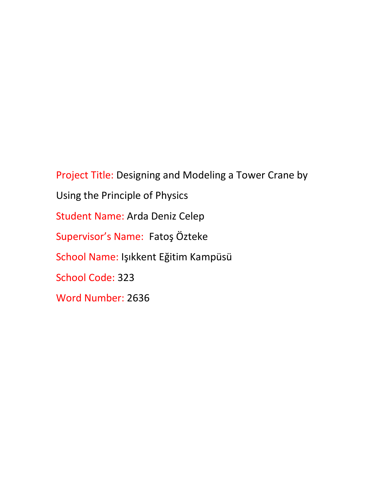Project Title: Designing and Modeling a Tower Crane by Using the Principle of Physics Student Name: Arda Deniz Celep Supervisor's Name: Fatoş Özteke School Name: Işıkkent Eğitim Kampüsü School Code: 323 Word Number: 2636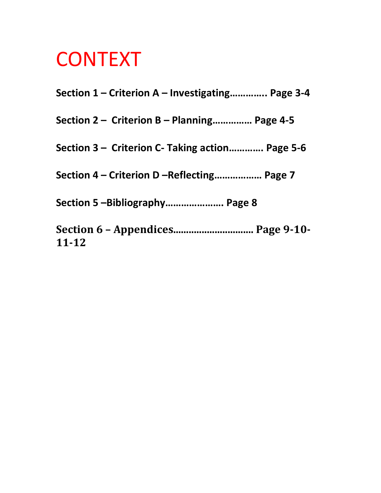# **CONTEXT**

| Section 1 – Criterion A – Investigating Page 3-4 |
|--------------------------------------------------|
| Section 2 – Criterion B – Planning Page 4-5      |
| Section 3 – Criterion C- Taking action Page 5-6  |
| Section 4 – Criterion D –Reflecting Page 7       |
| Section 5 -Bibliography Page 8                   |
| Section 6 - Appendices Page 9-10-<br>11-12       |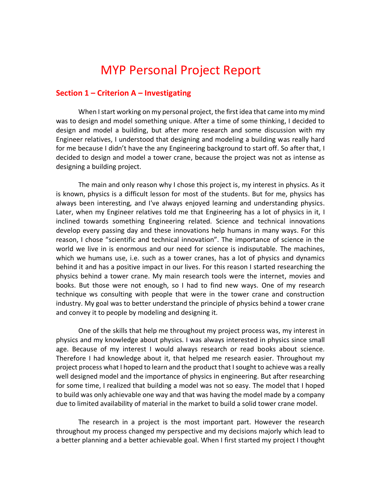## MYP Personal Project Report

#### **Section 1 – Criterion A – Investigating**

When I start working on my personal project, the first idea that came into my mind was to design and model something unique. After a time of some thinking, I decided to design and model a building, but after more research and some discussion with my Engineer relatives, I understood that designing and modeling a building was really hard for me because I didn't have the any Engineering background to start off. So after that, I decided to design and model a tower crane, because the project was not as intense as designing a building project.

The main and only reason why I chose this project is, my interest in physics. As it is known, physics is a difficult lesson for most of the students. But for me, physics has always been interesting, and I've always enjoyed learning and understanding physics. Later, when my Engineer relatives told me that Engineering has a lot of physics in it, I inclined towards something Engineering related. Science and technical innovations develop every passing day and these innovations help humans in many ways. For this reason, I chose "scientific and technical innovation". The importance of science in the world we live in is enormous and our need for science is indisputable. The machines, which we humans use, i.e. such as a tower cranes, has a lot of physics and dynamics behind it and has a positive impact in our lives. For this reason I started researching the physics behind a tower crane. My main research tools were the internet, movies and books. But those were not enough, so I had to find new ways. One of my research technique ws consulting with people that were in the tower crane and construction industry. My goal was to better understand the principle of physics behind a tower crane and convey it to people by modeling and designing it.

One of the skills that help me throughout my project process was, my interest in physics and my knowledge about physics. I was always interested in physics since small age. Because of my interest I would always research or read books about science. Therefore I had knowledge about it, that helped me research easier. Throughout my project process what I hoped to learn and the product that I sought to achieve was a really well designed model and the importance of physics in engineering. But after researching for some time, I realized that building a model was not so easy. The model that I hoped to build was only achievable one way and that was having the model made by a company due to limited availability of material in the market to build a solid tower crane model.

The research in a project is the most important part. However the research throughout my process changed my perspective and my decisions majorly which lead to a better planning and a better achievable goal. When I first started my project I thought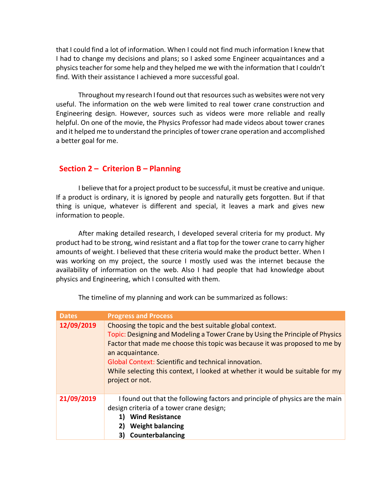that I could find a lot of information. When I could not find much information I knew that I had to change my decisions and plans; so I asked some Engineer acquaintances and a physics teacher for some help and they helped me we with the information that I couldn't find. With their assistance I achieved a more successful goal.

Throughout my research I found out that resources such as websites were not very useful. The information on the web were limited to real tower crane construction and Engineering design. However, sources such as videos were more reliable and really helpful. On one of the movie, the Physics Professor had made videos about tower cranes and it helped me to understand the principles of tower crane operation and accomplished a better goal for me.

#### **Section 2 – Criterion B – Planning**

I believe that for a project product to be successful, it must be creative and unique. If a product is ordinary, it is ignored by people and naturally gets forgotten. But if that thing is unique, whatever is different and special, it leaves a mark and gives new information to people.

After making detailed research, I developed several criteria for my product. My product had to be strong, wind resistant and a flat top for the tower crane to carry higher amounts of weight. I believed that these criteria would make the product better. When I was working on my project, the source I mostly used was the internet because the availability of information on the web. Also I had people that had knowledge about physics and Engineering, which I consulted with them.

| <b>Dates</b> | <b>Progress and Process</b>                                                                                                                                                                                                                                                                                                                                                                                    |
|--------------|----------------------------------------------------------------------------------------------------------------------------------------------------------------------------------------------------------------------------------------------------------------------------------------------------------------------------------------------------------------------------------------------------------------|
| 12/09/2019   | Choosing the topic and the best suitable global context.<br>Topic: Designing and Modeling a Tower Crane by Using the Principle of Physics<br>Factor that made me choose this topic was because it was proposed to me by<br>an acquaintance.<br><b>Global Context: Scientific and technical innovation.</b><br>While selecting this context, I looked at whether it would be suitable for my<br>project or not. |
| 21/09/2019   | I found out that the following factors and principle of physics are the main<br>design criteria of a tower crane design;<br><b>Wind Resistance</b><br><b>Weight balancing</b><br>Counterbalancing                                                                                                                                                                                                              |

The timeline of my planning and work can be summarized as follows: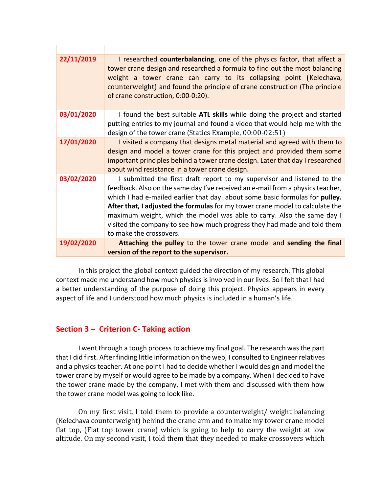| 22/11/2019 | I researched counterbalancing, one of the physics factor, that affect a<br>tower crane design and researched a formula to find out the most balancing<br>weight a tower crane can carry to its collapsing point (Kelechava,<br>counterweight) and found the principle of crane construction (The principle<br>of crane construction, 0:00-0:20).                                                                                                                                                            |
|------------|-------------------------------------------------------------------------------------------------------------------------------------------------------------------------------------------------------------------------------------------------------------------------------------------------------------------------------------------------------------------------------------------------------------------------------------------------------------------------------------------------------------|
| 03/01/2020 | I found the best suitable ATL skills while doing the project and started<br>putting entries to my journal and found a video that would help me with the<br>design of the tower crane (Statics Example, 00:00-02:51)                                                                                                                                                                                                                                                                                         |
| 17/01/2020 | I visited a company that designs metal material and agreed with them to<br>design and model a tower crane for this project and provided them some<br>important principles behind a tower crane design. Later that day I researched<br>about wind resistance in a tower crane design.                                                                                                                                                                                                                        |
| 03/02/2020 | I submitted the first draft report to my supervisor and listened to the<br>feedback. Also on the same day I've received an e-mail from a physics teacher,<br>which I had e-mailed earlier that day. about some basic formulas for pulley.<br>After that, I adjusted the formulas for my tower crane model to calculate the<br>maximum weight, which the model was able to carry. Also the same day I<br>visited the company to see how much progress they had made and told them<br>to make the crossovers. |
| 19/02/2020 | Attaching the pulley to the tower crane model and sending the final<br>version of the report to the supervisor.                                                                                                                                                                                                                                                                                                                                                                                             |

In this project the global context guided the direction of my research. This global context made me understand how much physics is involved in our lives. So I felt that I had a better understanding of the purpose of doing this project. Physics appears in every aspect of life and I understood how much physics is included in a human's life.

#### **Section 3 – Criterion C- Taking action**

I went through a tough process to achieve my final goal. The research was the part that I did first. After finding little information on the web, I consulted to Engineer relatives and a physics teacher. At one point I had to decide whether I would design and model the tower crane by myself or would agree to be made by a company. When I decided to have the tower crane made by the company, I met with them and discussed with them how the tower crane model was going to look like.

On my first visit, I told them to provide a counterweight/ weight balancing (Kelechava counterweight) behind the crane arm and to make my tower crane model flat top, (Flat top tower crane) which is going to help to carry the weight at low altitude. On my second visit, I told them that they needed to make crossovers which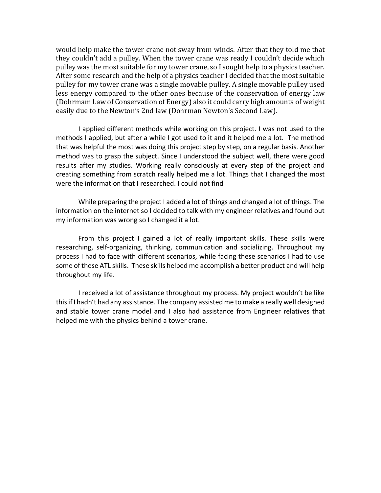would help make the tower crane not sway from winds. After that they told me that they couldn't add a pulley. When the tower crane was ready I couldn't decide which pulley was the most suitable for my tower crane, so I sought help to a physics teacher. After some research and the help of a physics teacher I decided that the most suitable pulley for my tower crane was a single movable pulley. A single movable pulley used less energy compared to the other ones because of the conservation of energy law (Dohrmam Law of Conservation of Energy) also it could carry high amounts of weight easily due to the Newton's 2nd law (Dohrman Newton's Second Law).

I applied different methods while working on this project. I was not used to the methods I applied, but after a while I got used to it and it helped me a lot. The method that was helpful the most was doing this project step by step, on a regular basis. Another method was to grasp the subject. Since I understood the subject well, there were good results after my studies. Working really consciously at every step of the project and creating something from scratch really helped me a lot. Things that I changed the most were the information that I researched. I could not find

While preparing the project I added a lot of things and changed a lot of things. The information on the internet so I decided to talk with my engineer relatives and found out my information was wrong so I changed it a lot.

From this project I gained a lot of really important skills. These skills were researching, self-organizing, thinking, communication and socializing. Throughout my process I had to face with different scenarios, while facing these scenarios I had to use some of these ATL skills. These skills helped me accomplish a better product and will help throughout my life.

I received a lot of assistance throughout my process. My project wouldn't be like this if I hadn't had any assistance. The company assisted me to make a really well designed and stable tower crane model and I also had assistance from Engineer relatives that helped me with the physics behind a tower crane.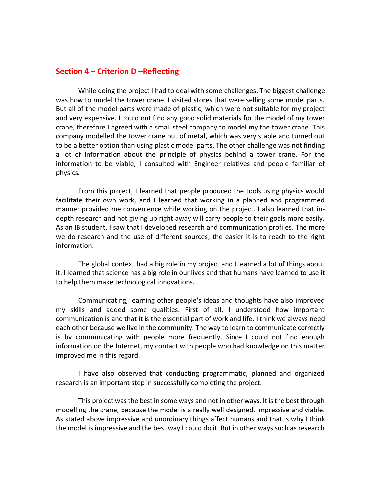#### **Section 4 – Criterion D –Reflecting**

While doing the project I had to deal with some challenges. The biggest challenge was how to model the tower crane. I visited stores that were selling some model parts. But all of the model parts were made of plastic, which were not suitable for my project and very expensive. I could not find any good solid materials for the model of my tower crane, therefore I agreed with a small steel company to model my the tower crane. This company modelled the tower crane out of metal, which was very stable and turned out to be a better option than using plastic model parts. The other challenge was not finding a lot of information about the principle of physics behind a tower crane. For the information to be viable, I consulted with Engineer relatives and people familiar of physics.

From this project, I learned that people produced the tools using physics would facilitate their own work, and I learned that working in a planned and programmed manner provided me convenience while working on the project. I also learned that indepth research and not giving up right away will carry people to their goals more easily. As an IB student, I saw that I developed research and communication profiles. The more we do research and the use of different sources, the easier it is to reach to the right information.

The global context had a big role in my project and I learned a lot of things about it. I learned that science has a big role in our lives and that humans have learned to use it to help them make technological innovations.

Communicating, learning other people's ideas and thoughts have also improved my skills and added some qualities. First of all, I understood how important communication is and that it is the essential part of work and life. I think we always need each other because we live in the community. The way to learn to communicate correctly is by communicating with people more frequently. Since I could not find enough information on the Internet, my contact with people who had knowledge on this matter improved me in this regard.

I have also observed that conducting programmatic, planned and organized research is an important step in successfully completing the project.

This project was the best in some ways and not in other ways. It is the best through modelling the crane, because the model is a really well designed, impressive and viable. As stated above impressive and unordinary things affect humans and that is why I think the model is impressive and the best way I could do it. But in other ways such as research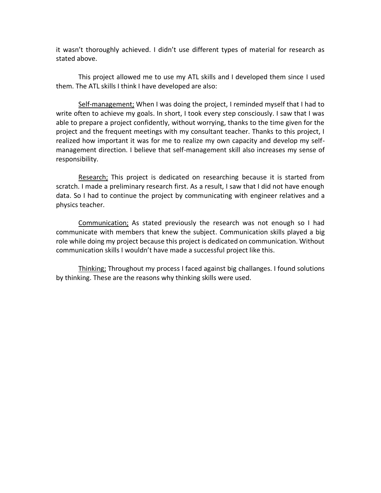it wasn't thoroughly achieved. I didn't use different types of material for research as stated above.

This project allowed me to use my ATL skills and I developed them since I used them. The ATL skills I think I have developed are also:

Self-management; When I was doing the project, I reminded myself that I had to write often to achieve my goals. In short, I took every step consciously. I saw that I was able to prepare a project confidently, without worrying, thanks to the time given for the project and the frequent meetings with my consultant teacher. Thanks to this project, I realized how important it was for me to realize my own capacity and develop my selfmanagement direction. I believe that self-management skill also increases my sense of responsibility.

Research; This project is dedicated on researching because it is started from scratch. I made a preliminary research first. As a result, I saw that I did not have enough data. So I had to continue the project by communicating with engineer relatives and a physics teacher.

Communication; As stated previously the research was not enough so I had communicate with members that knew the subject. Communication skills played a big role while doing my project because this project is dedicated on communication. Without communication skills I wouldn't have made a successful project like this.

Thinking; Throughout my process I faced against big challanges. I found solutions by thinking. These are the reasons why thinking skills were used.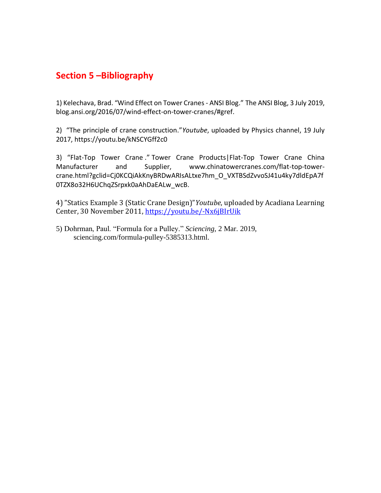### **Section 5 –Bibliography**

1) Kelechava, Brad. "Wind Effect on Tower Cranes - ANSI Blog." The ANSI Blog, 3 July 2019, blog.ansi.org/2016/07/wind-effect-on-tower-cranes/#gref.

2) "The principle of crane construction."*Youtube*, uploaded by Physics [channel,](https://www.youtube.com/channel/UCaVjLZhirwDg-D0hBcqT4Vg) 19 July 2017, https://youtu.be/kNSCYGff2c0

3) "Flat-Top Tower Crane ." Tower Crane Products|Flat-Top Tower Crane China Manufacturer and Supplier, www.chinatowercranes.com/flat-top-towercrane.html?gclid=Cj0KCQiAkKnyBRDwARIsALtxe7hm\_O\_VXTBSdZvvoSJ41u4ky7dldEpA7f 0TZX8o32H6UChqZSrpxk0aAhDaEALw\_wcB.

4) "Statics Example 3 (Static Crane Design)"*Youtube*, uploaded by [Acadiana Learning](https://www.youtube.com/channel/UCHsrpPzUxC2vqVQgCTx40rw)  [Center,](https://www.youtube.com/channel/UCHsrpPzUxC2vqVQgCTx40rw) 30 November 2011,<https://youtu.be/-Nx6jBIrUik>

5) Dohrman, Paul. "Formula for a Pulley." *Sciencing*, 2 Mar. 2019, sciencing.com/formula-pulley-5385313.html.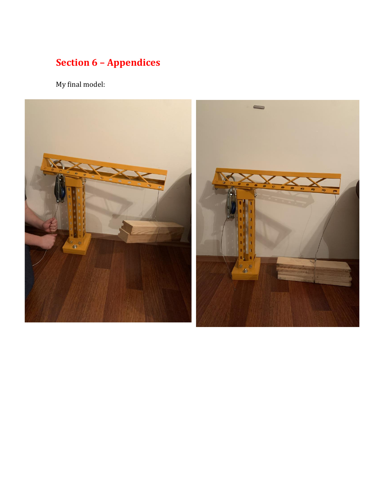## **Section 6 – Appendices**

My final model:

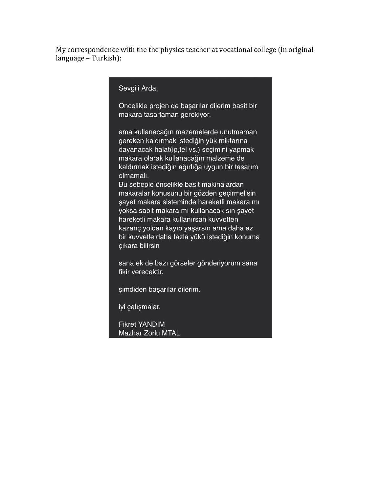My correspondence with the the physics teacher at vocational college (in original language – Turkish):

Sevgili Arda,

Öncelikle projen de başarılar dilerim basit bir makara tasarlaman gerekiyor.

ama kullanacağın mazemelerde unutmaman gereken kaldırmak istediğin yük miktarına dayanacak halat(ip,tel vs.) seçimini yapmak makara olarak kullanacağın malzeme de kaldırmak istediğin ağırlığa uygun bir tasarım olmamalı.

Bu sebeple öncelikle basit makinalardan makaralar konusunu bir gözden geçirmelisin şayet makara sisteminde hareketli makara mı yoksa sabit makara mı kullanacak sın şayet hareketli makara kullanırsan kuvvetten kazanç yoldan kayıp yaşarsın ama daha az bir kuvvetle daha fazla yükü istediğin konuma çıkara bilirsin

sana ek de bazı görseler gönderiyorum sana fikir verecektir.

şimdiden başarılar dilerim.

iyi çalışmalar.

**Fikret YANDIM** Mazhar Zorlu MTAL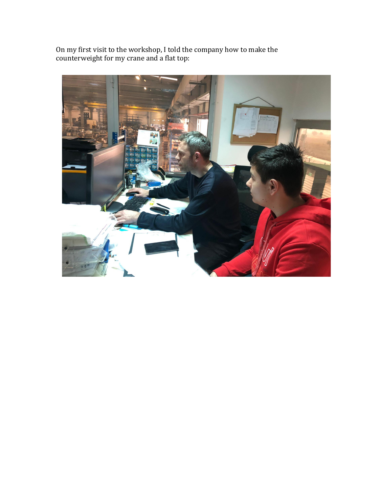On my first visit to the workshop, I told the company how to make the counterweight for my crane and a flat top: